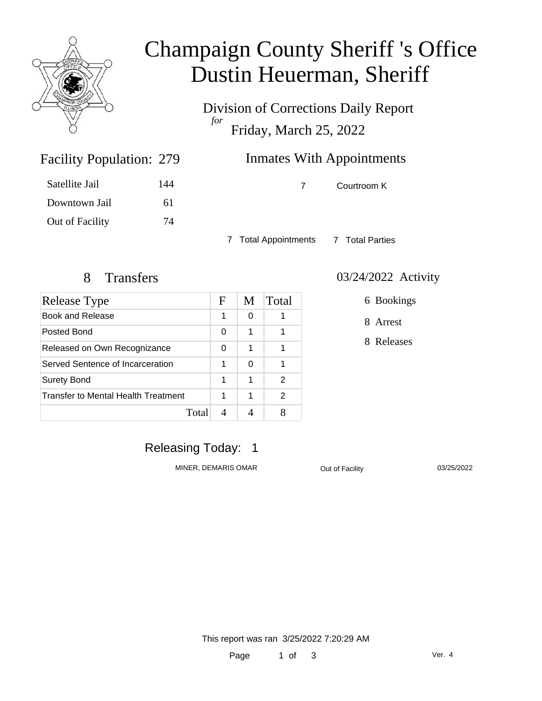

## Champaign County Sheriff 's Office Dustin Heuerman, Sheriff

Division of Corrections Daily Report *for* Friday, March 25, 2022

### **Inmates With Appointments**

Satellite Jail 144

7 Courtroom K

7 Total Appointments 7 Total Parties

Facility Population: 279

Downtown Jail 61

Out of Facility 74

| <b>Release Type</b>                 | F | M | Total |
|-------------------------------------|---|---|-------|
| Book and Release                    | 1 | 0 |       |
| Posted Bond                         | 0 | 1 |       |
| Released on Own Recognizance        | 0 | 1 |       |
| Served Sentence of Incarceration    | 1 | 0 | 1     |
| <b>Surety Bond</b>                  | 1 | 1 | 2     |
| Transfer to Mental Health Treatment | 1 | 1 | 2     |
| Total                               |   |   |       |

#### 8 Transfers 03/24/2022 Activity

6 Bookings

8 Arrest

8 Releases

### Releasing Today: 1

MINER, DEMARIS OMAR
BURG COM CONTRACTIVE CONTRACTIVE CONTRACT ON A CONTRACT ON A CONTRACT ON A CONTRACT ON A CONTRACT ON A CONTRACT ON A CONTRACT ON A CONTRACT ON A CONTRACT ON A CONTRACT ON A CONTRACT ON A CONTRACT ON A C

This report was ran 3/25/2022 7:20:29 AM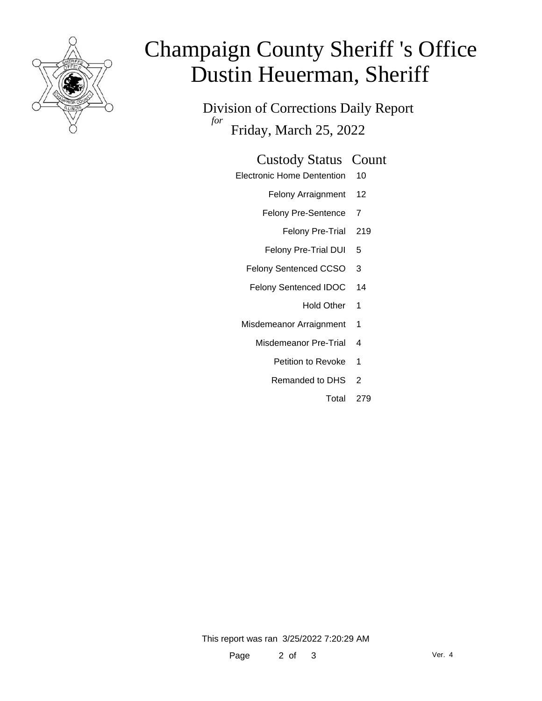

# Champaign County Sheriff 's Office Dustin Heuerman, Sheriff

Division of Corrections Daily Report *for* Friday, March 25, 2022

#### Custody Status Count

- Electronic Home Dentention 10
	- Felony Arraignment 12
	- Felony Pre-Sentence 7
		- Felony Pre-Trial 219
	- Felony Pre-Trial DUI 5
	- Felony Sentenced CCSO 3
	- Felony Sentenced IDOC 14
		- Hold Other 1
	- Misdemeanor Arraignment 1
		- Misdemeanor Pre-Trial 4
			- Petition to Revoke 1
			- Remanded to DHS 2
				- Total 279

This report was ran 3/25/2022 7:20:29 AM